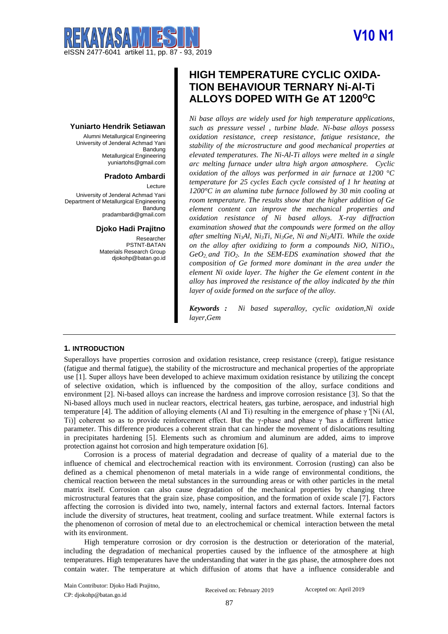# **V10 N1**



# **Yuniarto Hendrik Setiawan**

Alumni Metallurgical Engineering University of Jenderal Achmad Yani Bandung Metallurgical Engineering yuniartohs@gmail.com

# **Pradoto Ambardi**

Lecture University of Jenderal Achmad Yani Department of Metallurgical Engineering **Bandung** pradambardi@gmail.com

#### **Djoko Hadi Prajitno**

Researcher PSTNT-BATAN Materials Research Group djokohp@batan.go.id

# **HIGH TEMPERATURE CYCLIC OXIDA-TION BEHAVIOUR TERNARY Ni-Al-Ti ALLOYS DOPED WITH Ge AT 1200<sup>O</sup>C**

*Ni base alloys are widely used for high temperature applications, such as pressure vessel , turbine blade. Ni-base alloys possess oxidation resistance, creep resistance, fatigue resistance, the stability of the microstructure and good mechanical properties at elevated temperatures. The Ni-Al-Ti alloys were melted in a single arc melting furnace under ultra high argon atmosphere. Cyclic oxidation of the alloys was performed in air furnace at 1200 °C temperature for 25 cycles Each cycle consisted of 1 hr heating at 1200°C in an alumina tube furnace followed by 30 min cooling at room temperature. The results show that the higher addition of Ge element content can improve the mechanical properties and oxidation resistance of Ni based alloys. X-ray diffraction examination showed that the compounds were formed on the alloy after smelting Ni3Al, Ni3Ti, Ni3Ge, Ni and Ni2AlTi. While the oxide on the alloy after oxidizing to form a compounds NiO, NiTiO3, GeO2, and TiO2. In the SEM-EDS examination showed that the composition of Ge formed more dominant in the area under the element Ni oxide layer. The higher the Ge element content in the alloy has improved the resistance of the alloy indicated by the thin layer of oxide formed on the surface of the alloy.*

*Keywords : Ni based superalloy, cyclic oxidation,Ni oxide layer,Gem*

#### **1. INTRODUCTION**

Superalloys have properties corrosion and oxidation resistance, creep resistance (creep), fatigue resistance (fatigue and thermal fatigue), the stability of the microstructure and mechanical properties of the appropriate use [1]. Super alloys have been developed to achieve maximum oxidation resistance by utilizing the concept of selective oxidation, which is influenced by the composition of the alloy, surface conditions and environment [2]. Ni-based alloys can increase the hardness and improve corrosion resistance [3]. So that the Ni-based alloys much used in nuclear reactors, electrical heaters, gas turbine, aerospace, and industrial high temperature [4]. The addition of alloying elements (Al and Ti) resulting in the emergence of phase γ '[Ni (Al, Ti)] coherent so as to provide reinforcement effect. But the γ-phase and phase γ 'has a different lattice parameter. This difference produces a coherent strain that can hinder the movement of dislocations resulting in precipitates hardening [5]. Elements such as chromium and aluminum are added, aims to improve protection against hot corrosion and high temperature oxidation [6].

Corrosion is a process of material degradation and decrease of quality of a material due to the influence of chemical and electrochemical reaction with its environment. Corrosion (rusting) can also be defined as a chemical phenomenon of metal materials in a wide range of environmental conditions, the chemical reaction between the metal substances in the surrounding areas or with other particles in the metal matrix itself. Corrosion can also cause degradation of the mechanical properties by changing three microstructural features that the grain size, phase composition, and the formation of oxide scale [7]. Factors affecting the corrosion is divided into two, namely, internal factors and external factors. Internal factors include the diversity of structures, heat treatment, cooling and surface treatment. While external factors is the phenomenon of corrosion of metal due to an electrochemical or chemical interaction between the metal with its environment.

High temperature corrosion or dry corrosion is the destruction or deterioration of the material, including the degradation of mechanical properties caused by the influence of the atmosphere at high temperatures. High temperatures have the understanding that water in the gas phase, the atmosphere does not contain water. The temperature at which diffusion of atoms that have a influence considerable and

Main Contributor: Djoko Hadi Prajitno, CP: djokohp@batan.go.id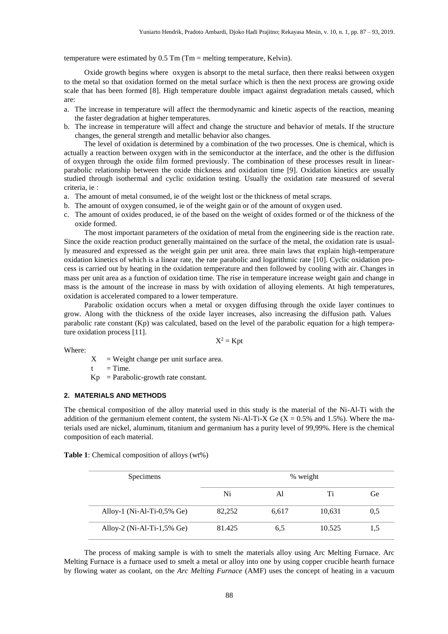temperature were estimated by 0.5 Tm (Tm = melting temperature, Kelvin).

Oxide growth begins where oxygen is absorpt to the metal surface, then there reaksi between oxygen to the metal so that oxidation formed on the metal surface which is then the next process are growing oxide scale that has been formed [8]. High temperature double impact against degradation metals caused, which are:

- a. The increase in temperature will affect the thermodynamic and kinetic aspects of the reaction, meaning the faster degradation at higher temperatures.
- b. The increase in temperature will affect and change the structure and behavior of metals. If the structure changes, the general strength and metallic behavior also changes.

The level of oxidation is determined by a combination of the two processes. One is chemical, which is actually a reaction between oxygen with in the semiconductor at the interface, and the other is the diffusion of oxygen through the oxide film formed previously. The combination of these processes result in linearparabolic relationship between the oxide thickness and oxidation time [9]. Oxidation kinetics are usually studied through isothermal and cyclic oxidation testing. Usually the oxidation rate measured of several criteria, ie :

- a. The amount of metal consumed, ie of the weight lost or the thickness of metal scraps.
- b. The amount of oxygen consumed, ie of the weight gain or of the amount of oxygen used.
- c. The amount of oxides produced, ie of the based on the weight of oxides formed or of the thickness of the oxide formed.

The most important parameters of the oxidation of metal from the engineering side is the reaction rate. Since the oxide reaction product generally maintained on the surface of the metal, the oxidation rate is usually measured and expressed as the weight gain per unit area. three main laws that explain high-temperature oxidation kinetics of which is a linear rate, the rate parabolic and logarithmic rate [10]. Cyclic oxidation process is carried out by heating in the oxidation temperature and then followed by cooling with air. Changes in mass per unit area as a function of oxidation time. The rise in temperature increase weight gain and change in mass is the amount of the increase in mass by with oxidation of alloying elements. At high temperatures, oxidation is accelerated compared to a lower temperature.

Parabolic oxidation occurs when a metal or oxygen diffusing through the oxide layer continues to grow. Along with the thickness of the oxide layer increases, also increasing the diffusion path. Values parabolic rate constant (Kp) was calculated, based on the level of the parabolic equation for a high temperature oxidation process [11].

Where:

 $X^2 =$ Kpt

 $X = Weight change per unit surface area.$ 

 $t = Time.$ 

 $Kp = Parabolic-growth rate constant.$ 

#### **2. MATERIALS AND METHODS**

The chemical composition of the alloy material used in this study is the material of the Ni-Al-Ti with the addition of the germanium element content, the system Ni-Al-Ti-X Ge  $(X = 0.5\%$  and 1.5%). Where the materials used are nickel, aluminum, titanium and germanium has a purity level of 99,99%. Here is the chemical composition of each material.

**Table 1**: Chemical composition of alloys (wt%)

| Specimens                  | % weight |       |        |     |
|----------------------------|----------|-------|--------|-----|
|                            | Ni       | Al    | Ti     | Ge  |
| Alloy-1 (Ni-Al-Ti-0,5% Ge) | 82,252   | 6,617 | 10,631 | 0.5 |
| Alloy-2 (Ni-Al-Ti-1,5% Ge) | 81.425   | 6.5   | 10.525 | 1.5 |

The process of making sample is with to smelt the materials alloy using Arc Melting Furnace. Arc Melting Furnace is a furnace used to smelt a metal or alloy into one by using copper crucible hearth furnace by flowing water as coolant, on the *Arc Melting Furnace* (AMF) uses the concept of heating in a vacuum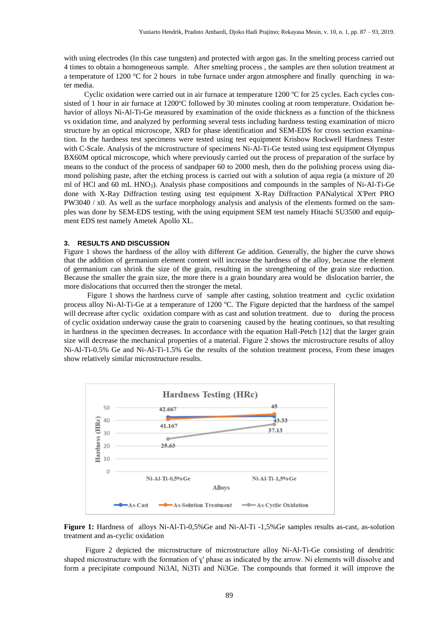with using electrodes (In this case tungsten) and protected with argon gas. In the smelting process carried out 4 times to obtain a homogeneous sample. After smelting process , the samples are then solution treatment at a temperature of 1200 °C for 2 hours in tube furnace under argon atmosphere and finally quenching in water media.

Cyclic oxidation were carried out in air furnace at temperature  $1200$  °C for  $25$  cycles. Each cycles consisted of 1 hour in air furnace at 1200°C followed by 30 minutes cooling at room temperature. Oxidation behavior of alloys Ni-Al-Ti-Ge measured by examination of the oxide thickness as a function of the thickness vs oxidation time, and analyzed by performing several tests including hardness testing examination of micro structure by an optical microscope, XRD for phase identification and SEM-EDS for cross section examination. In the hardness test specimens were tested using test equipment Krisbow Rockwell Hardness Tester with C-Scale. Analysis of the microstructure of specimens Ni-Al-Ti-Ge tested using test equipment Olympus BX60M optical microscope, which where previously carried out the process of preparation of the surface by means to the conduct of the process of sandpaper 60 to 2000 mesh, then do the polishing process using diamond polishing paste, after the etching process is carried out with a solution of aqua regia (a mixture of 20 ml of HCl and 60 mL HNO3). Analysis phase compositions and compounds in the samples of Ni-Al-Ti-Ge done with X-Ray Diffraction testing using test equipment X-Ray Diffraction PANalytical X'Pert PRO PW3040 / x0. As well as the surface morphology analysis and analysis of the elements formed on the samples was done by SEM-EDS testing, with the using equipment SEM test namely Hitachi SU3500 and equipment EDS test namely Ametek Apollo XL.

#### **3. RESULTS AND DISCUSSION**

Figure 1 shows the hardness of the alloy with different Ge addition. Generally, the higher the curve shows that the addition of germanium element content will increase the hardness of the alloy, because the element of germanium can shrink the size of the grain, resulting in the strengthening of the grain size reduction. Because the smaller the grain size, the more there is a grain boundary area would be dislocation barrier, the more dislocations that occurred then the stronger the metal.

Figure 1 shows the hardness curve of sample after casting, solution treatment and cyclic oxidation process alloy Ni-Al-Ti-Ge at a temperature of 1200 °C. The Figure depicted that the hardness of the sampel will decrease after cyclic oxidation compare with as cast and solution treatment. due to during the process of cyclic oxidation underway cause the grain to coarsening caused by the heating continues, so that resulting in hardness in the specimen decreases. In accordance with the equation Hall-Petch [12] that the larger grain size will decrease the mechanical properties of a material. Figure 2 shows the microstructure results of alloy Ni-Al-Ti-0.5% Ge and Ni-Al-Ti-1.5% Ge the results of the solution treatment process, From these images show relatively similar microstructure results.



**Figure 1:** Hardness of alloys Ni-Al-Ti-0,5%Ge and Ni-Al-Ti -1,5%Ge samples results as-cast, as-solution treatment and as-cyclic oxidation

Figure 2 depicted the microstructure of microstructure alloy Ni-Al-Ti-Ge consisting of dendritic shaped microstructure with the formation of y' phase as indicated by the arrow. Ni elements will dissolve and form a precipitate compound Ni3Al, Ni3Ti and Ni3Ge. The compounds that formed it will improve the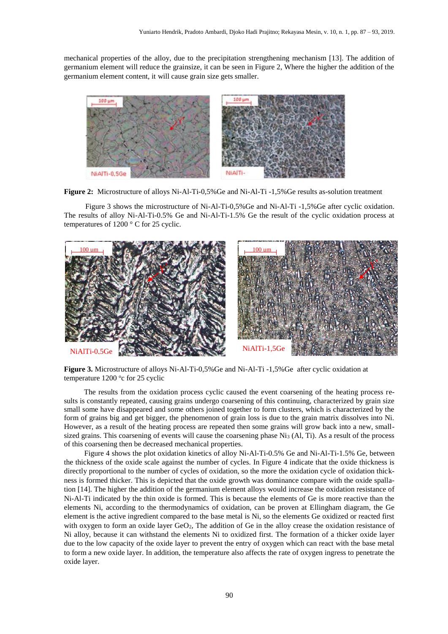mechanical properties of the alloy, due to the precipitation strengthening mechanism [13]. The addition of germanium element will reduce the grainsize, it can be seen in Figure 2, Where the higher the addition of the germanium element content, it will cause grain size gets smaller.



**Figure 2:** Microstructure of alloys Ni-Al-Ti-0,5%Ge and Ni-Al-Ti -1,5%Ge results as-solution treatment

Figure 3 shows the microstructure of Ni-Al-Ti-0,5%Ge and Ni-Al-Ti -1,5%Ge after cyclic oxidation. The results of alloy Ni-Al-Ti-0.5% Ge and Ni-Al-Ti-1.5% Ge the result of the cyclic oxidation process at temperatures of 1200 ° C for 25 cyclic.



**Figure 3.** Microstructure of alloys Ni-Al-Ti-0,5%Ge and Ni-Al-Ti -1,5%Ge after cyclic oxidation at temperature 1200 °c for 25 cyclic

The results from the oxidation process cyclic caused the event coarsening of the heating process results is constantly repeated, causing grains undergo coarsening of this continuing, characterized by grain size small some have disappeared and some others joined together to form clusters, which is characterized by the form of grains big and get bigger, the phenomenon of grain loss is due to the grain matrix dissolves into Ni. However, as a result of the heating process are repeated then some grains will grow back into a new, smallsized grains. This coarsening of events will cause the coarsening phase Ni<sub>3</sub> (Al, Ti). As a result of the process of this coarsening then be decreased mechanical properties.

Figure 4 shows the plot oxidation kinetics of alloy Ni-Al-Ti-0.5% Ge and Ni-Al-Ti-1.5% Ge, between the thickness of the oxide scale against the number of cycles. In Figure 4 indicate that the oxide thickness is directly proportional to the number of cycles of oxidation, so the more the oxidation cycle of oxidation thickness is formed thicker. This is depicted that the oxide growth was dominance compare with the oxide spallation [14]. The higher the addition of the germanium element alloys would increase the oxidation resistance of Ni-Al-Ti indicated by the thin oxide is formed. This is because the elements of Ge is more reactive than the elements Ni, according to the thermodynamics of oxidation, can be proven at Ellingham diagram, the Ge element is the active ingredient compared to the base metal is Ni, so the elements Ge oxidized or reacted first with oxygen to form an oxide layer GeO<sub>2</sub>, The addition of Ge in the alloy crease the oxidation resistance of Ni alloy, because it can withstand the elements Ni to oxidized first. The formation of a thicker oxide layer due to the low capacity of the oxide layer to prevent the entry of oxygen which can react with the base metal to form a new oxide layer. In addition, the temperature also affects the rate of oxygen ingress to penetrate the oxide layer.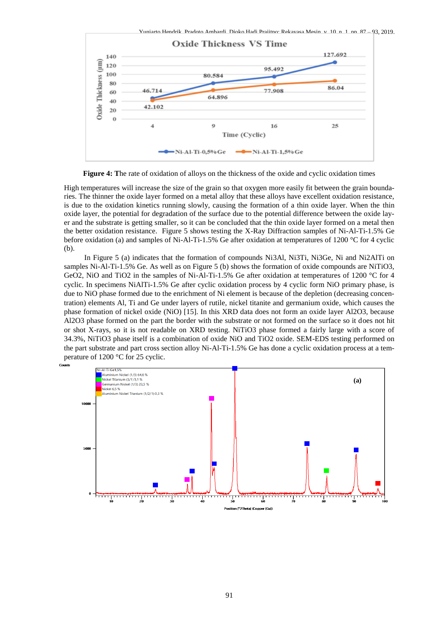

**Figure 4: T**he rate of oxidation of alloys on the thickness of the oxide and cyclic oxidation times

High temperatures will increase the size of the grain so that oxygen more easily fit between the grain boundaries. The thinner the oxide layer formed on a metal alloy that these alloys have excellent oxidation resistance, is due to the oxidation kinetics running slowly, causing the formation of a thin oxide layer. When the thin oxide layer, the potential for degradation of the surface due to the potential difference between the oxide layer and the substrate is getting smaller, so it can be concluded that the thin oxide layer formed on a metal then the better oxidation resistance. Figure 5 shows testing the X-Ray Diffraction samples of Ni-Al-Ti-1.5% Ge before oxidation (a) and samples of Ni-Al-Ti-1.5% Ge after oxidation at temperatures of 1200 °C for 4 cyclic (b).

In Figure 5 (a) indicates that the formation of compounds Ni3Al, Ni3Ti, Ni3Ge, Ni and Ni2AlTi on samples Ni-Al-Ti-1.5% Ge. As well as on Figure 5 (b) shows the formation of oxide compounds are NiTiO3, GeO2, NiO and TiO2 in the samples of Ni-Al-Ti-1.5% Ge after oxidation at temperatures of 1200 °C for 4 cyclic. In specimens NiAlTi-1.5% Ge after cyclic oxidation process by 4 cyclic form NiO primary phase, is due to NiO phase formed due to the enrichment of Ni element is because of the depletion (decreasing concentration) elements Al, Ti and Ge under layers of rutile, nickel titanite and germanium oxide, which causes the phase formation of nickel oxide (NiO) [15]. In this XRD data does not form an oxide layer Al2O3, because Al2O3 phase formed on the part the border with the substrate or not formed on the surface so it does not hit or shot X-rays, so it is not readable on XRD testing. NiTiO3 phase formed a fairly large with a score of 34.3%, NiTiO3 phase itself is a combination of oxide NiO and TiO2 oxide. SEM-EDS testing performed on the part substrate and part cross section alloy Ni-Al-Ti-1.5% Ge has done a cyclic oxidation process at a temperature of 1200 °C for 25 cyclic.

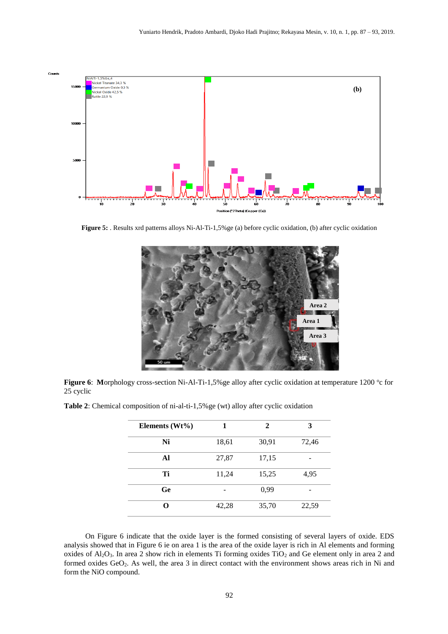

**Figure 5:** . Results xrd patterns alloys Ni-Al-Ti-1,5%ge (a) before cyclic oxidation, (b) after cyclic oxidation



Figure 6: Morphology cross-section Ni-Al-Ti-1,5% ge alloy after cyclic oxidation at temperature 1200 °c for 25 cyclic

| Elements $(Wt\%)$ | 1     | 2     | 3     |
|-------------------|-------|-------|-------|
| Ni                | 18,61 | 30,91 | 72,46 |
| Al                | 27,87 | 17,15 |       |
| Ti                | 11,24 | 15,25 | 4,95  |
| <b>Ge</b>         |       | 0,99  |       |
| റ                 | 42,28 | 35,70 | 22,59 |

**Table 2**: Chemical composition of ni-al-ti-1,5%ge (wt) alloy after cyclic oxidation

On Figure 6 indicate that the oxide layer is the formed consisting of several layers of oxide. EDS analysis showed that in Figure 6 ie on area 1 is the area of the oxide layer is rich in Al elements and forming oxides of  $Al_2O_3$ . In area 2 show rich in elements Ti forming oxides TiO<sub>2</sub> and Ge element only in area 2 and formed oxides GeO<sub>2</sub>. As well, the area 3 in direct contact with the environment shows areas rich in Ni and form the NiO compound.